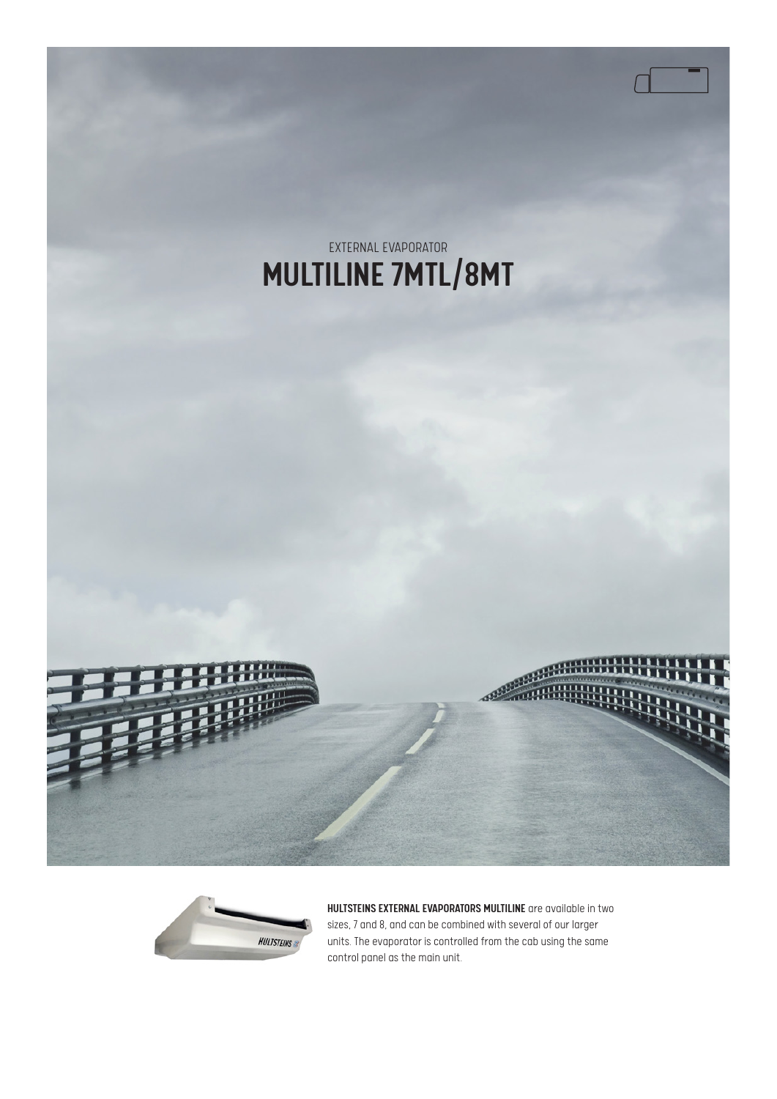



HULTSTEINS EXTERNAL EVAPORATORS MULTILINE are available in two sizes, 7 and 8, and can be combined with several of our larger units. The evaporator is controlled from the cab using the same control panel as the main unit.